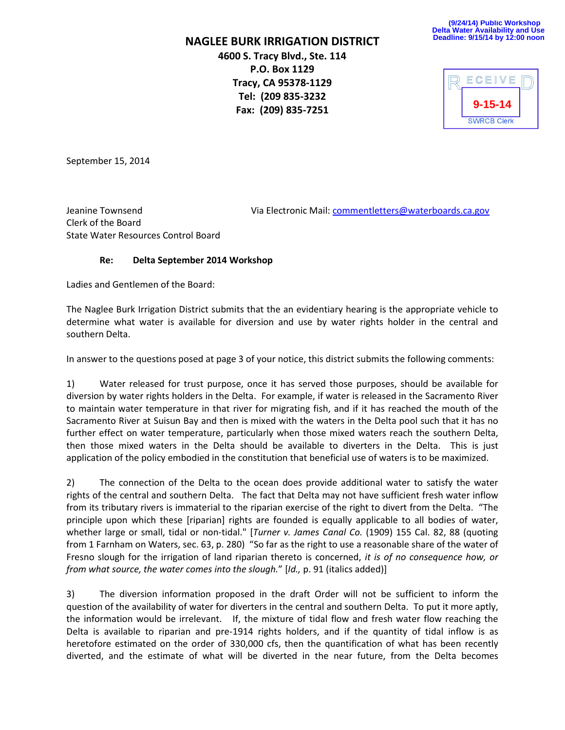**NAGLEE BURK IRRIGATION DISTRICT**

**4600 S. Tracy Blvd., Ste. 114 P.O. Box 1129 Tracy, CA 95378-1129 Tel: (209 835-3232 Fax: (209) 835-7251**

**(9/24/14) Public Workshop Delta Water Availability and Use Deadline: 9/15/14 by 12:00 noon**



September 15, 2014

Clerk of the Board State Water Resources Control Board

Jeanine Townsend Via Electronic Mail: [commentletters@waterboards.ca.gov](mailto:commentletters@waterboards.ca.gov)

## **Re: Delta September 2014 Workshop**

Ladies and Gentlemen of the Board:

The Naglee Burk Irrigation District submits that the an evidentiary hearing is the appropriate vehicle to determine what water is available for diversion and use by water rights holder in the central and southern Delta.

In answer to the questions posed at page 3 of your notice, this district submits the following comments:

1) Water released for trust purpose, once it has served those purposes, should be available for diversion by water rights holders in the Delta. For example, if water is released in the Sacramento River to maintain water temperature in that river for migrating fish, and if it has reached the mouth of the Sacramento River at Suisun Bay and then is mixed with the waters in the Delta pool such that it has no further effect on water temperature, particularly when those mixed waters reach the southern Delta, then those mixed waters in the Delta should be available to diverters in the Delta. This is just application of the policy embodied in the constitution that beneficial use of waters is to be maximized.

2) The connection of the Delta to the ocean does provide additional water to satisfy the water rights of the central and southern Delta. The fact that Delta may not have sufficient fresh water inflow from its tributary rivers is immaterial to the riparian exercise of the right to divert from the Delta. "The principle upon which these [riparian] rights are founded is equally applicable to all bodies of water, whether large or small, tidal or non-tidal." [*Turner v. James Canal Co.* (1909) 155 Cal. 82, 88 (quoting from 1 Farnham on Waters, sec. 63, p. 280) "So far as the right to use a reasonable share of the water of Fresno slough for the irrigation of land riparian thereto is concerned, *it is of no consequence how, or from what source, the water comes into the slough.*" [*Id.,* p. 91 (italics added)]

3) The diversion information proposed in the draft Order will not be sufficient to inform the question of the availability of water for diverters in the central and southern Delta. To put it more aptly, the information would be irrelevant. If, the mixture of tidal flow and fresh water flow reaching the Delta is available to riparian and pre-1914 rights holders, and if the quantity of tidal inflow is as heretofore estimated on the order of 330,000 cfs, then the quantification of what has been recently diverted, and the estimate of what will be diverted in the near future, from the Delta becomes